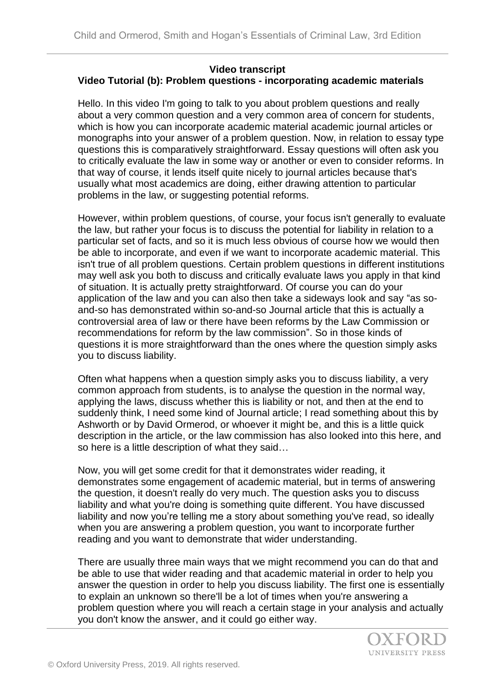## **Video transcript Video Tutorial (b): Problem questions - incorporating academic materials**

Hello. In this video I'm going to talk to you about problem questions and really about a very common question and a very common area of concern for students, which is how you can incorporate academic material academic journal articles or monographs into your answer of a problem question. Now, in relation to essay type questions this is comparatively straightforward. Essay questions will often ask you to critically evaluate the law in some way or another or even to consider reforms. In that way of course, it lends itself quite nicely to journal articles because that's usually what most academics are doing, either drawing attention to particular problems in the law, or suggesting potential reforms.

However, within problem questions, of course, your focus isn't generally to evaluate the law, but rather your focus is to discuss the potential for liability in relation to a particular set of facts, and so it is much less obvious of course how we would then be able to incorporate, and even if we want to incorporate academic material. This isn't true of all problem questions. Certain problem questions in different institutions may well ask you both to discuss and critically evaluate laws you apply in that kind of situation. It is actually pretty straightforward. Of course you can do your application of the law and you can also then take a sideways look and say "as soand-so has demonstrated within so-and-so Journal article that this is actually a controversial area of law or there have been reforms by the Law Commission or recommendations for reform by the law commission". So in those kinds of questions it is more straightforward than the ones where the question simply asks you to discuss liability.

Often what happens when a question simply asks you to discuss liability, a very common approach from students, is to analyse the question in the normal way, applying the laws, discuss whether this is liability or not, and then at the end to suddenly think, I need some kind of Journal article; I read something about this by Ashworth or by David Ormerod, or whoever it might be, and this is a little quick description in the article, or the law commission has also looked into this here, and so here is a little description of what they said…

Now, you will get some credit for that it demonstrates wider reading, it demonstrates some engagement of academic material, but in terms of answering the question, it doesn't really do very much. The question asks you to discuss liability and what you're doing is something quite different. You have discussed liability and now you're telling me a story about something you've read, so ideally when you are answering a problem question, you want to incorporate further reading and you want to demonstrate that wider understanding.

There are usually three main ways that we might recommend you can do that and be able to use that wider reading and that academic material in order to help you answer the question in order to help you discuss liability. The first one is essentially to explain an unknown so there'll be a lot of times when you're answering a problem question where you will reach a certain stage in your analysis and actually you don't know the answer, and it could go either way.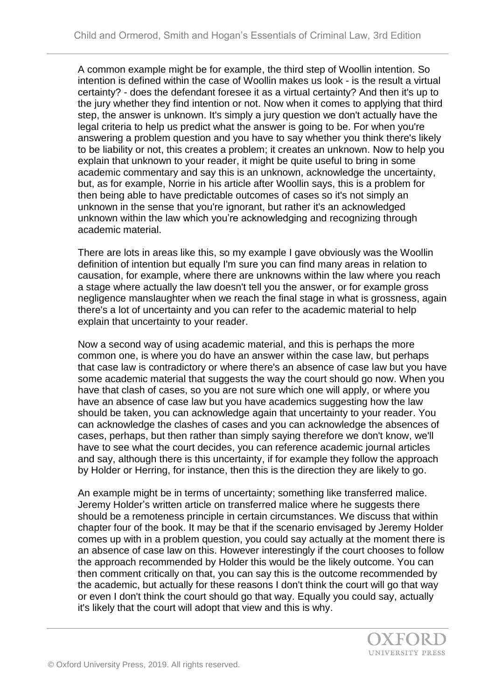A common example might be for example, the third step of Woollin intention. So intention is defined within the case of Woollin makes us look - is the result a virtual certainty? - does the defendant foresee it as a virtual certainty? And then it's up to the jury whether they find intention or not. Now when it comes to applying that third step, the answer is unknown. It's simply a jury question we don't actually have the legal criteria to help us predict what the answer is going to be. For when you're answering a problem question and you have to say whether you think there's likely to be liability or not, this creates a problem; it creates an unknown. Now to help you explain that unknown to your reader, it might be quite useful to bring in some academic commentary and say this is an unknown, acknowledge the uncertainty, but, as for example, Norrie in his article after Woollin says, this is a problem for then being able to have predictable outcomes of cases so it's not simply an unknown in the sense that you're ignorant, but rather it's an acknowledged unknown within the law which you're acknowledging and recognizing through academic material.

There are lots in areas like this, so my example I gave obviously was the Woollin definition of intention but equally I'm sure you can find many areas in relation to causation, for example, where there are unknowns within the law where you reach a stage where actually the law doesn't tell you the answer, or for example gross negligence manslaughter when we reach the final stage in what is grossness, again there's a lot of uncertainty and you can refer to the academic material to help explain that uncertainty to your reader.

Now a second way of using academic material, and this is perhaps the more common one, is where you do have an answer within the case law, but perhaps that case law is contradictory or where there's an absence of case law but you have some academic material that suggests the way the court should go now. When you have that clash of cases, so you are not sure which one will apply, or where you have an absence of case law but you have academics suggesting how the law should be taken, you can acknowledge again that uncertainty to your reader. You can acknowledge the clashes of cases and you can acknowledge the absences of cases, perhaps, but then rather than simply saying therefore we don't know, we'll have to see what the court decides, you can reference academic journal articles and say, although there is this uncertainty, if for example they follow the approach by Holder or Herring, for instance, then this is the direction they are likely to go.

An example might be in terms of uncertainty; something like transferred malice. Jeremy Holder's written article on transferred malice where he suggests there should be a remoteness principle in certain circumstances. We discuss that within chapter four of the book. It may be that if the scenario envisaged by Jeremy Holder comes up with in a problem question, you could say actually at the moment there is an absence of case law on this. However interestingly if the court chooses to follow the approach recommended by Holder this would be the likely outcome. You can then comment critically on that, you can say this is the outcome recommended by the academic, but actually for these reasons I don't think the court will go that way or even I don't think the court should go that way. Equally you could say, actually it's likely that the court will adopt that view and this is why.